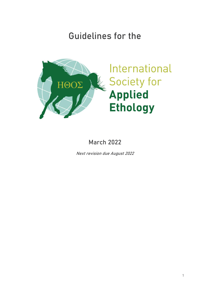# Guidelines for the



March 2022

Next revision due August 2022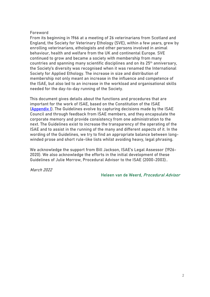### Foreword

From its beginning in 1966 at a meeting of 26 veterinarians from Scotland and England, the Society for Veterinary Ethology (SVE), within a few years, grew by enrolling veterinarians, ethologists and other persons involved in animal behaviour, health and welfare from the UK and continental Europe. SVE continued to grow and became a society with membership from many countries and spanning many scientific disciplines and on its 25<sup>th</sup> anniversary, the Society's diversity was recognised when it was renamed the International Society for Applied Ethology. The increase in size and distribution of membership not only meant an increase in the influence and competence of the ISAE, but also led to an increase in the workload and organisational skills needed for the day-to-day running of the Society.

This document gives details about the functions and procedures that are important for the work of ISAE, based on the Constitution of the ISAE [\(Appendix I\)](#page-35-0). The Guidelines evolve by capturing decisions made by the ISAE Council and through feedback from ISAE members, and they encapsulate the corporate memory and provide consistency from one administration to the next. The Guidelines exist to increase the transparency of the operating of the ISAE and to assist in the running of the many and different aspects of it. In the wording of the Guidelines, we try to find an appropriate balance between longwinded prose and short rule-like lists whilst avoiding heavy, legal phrasing.

We acknowledge the support from Bill Jackson, ISAE's Legal Assessor (1926- 2020). We also acknowledge the efforts in the initial development of these Guidelines of Julie Morrow, Procedural Advisor to the ISAE (2000-2003)..

March 2022

Heleen van de Weerd, Procedural Advisor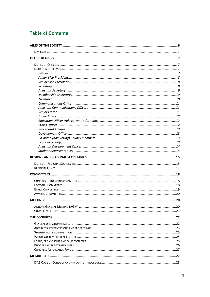# **Table of Contents**

| <b>MEETINGS.</b> | 20 |
|------------------|----|
|                  |    |
|                  |    |
|                  |    |
|                  |    |
|                  |    |
|                  |    |
|                  |    |
|                  |    |
|                  |    |
|                  |    |
|                  |    |
|                  |    |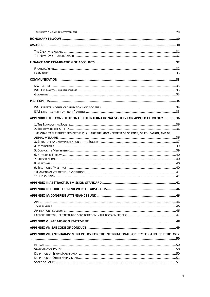| APPENDIX I: THE CONSTITUTION OF THE INTERNATIONAL SOCIETY FOR APPLIED ETHOLOGY 36        |  |
|------------------------------------------------------------------------------------------|--|
|                                                                                          |  |
|                                                                                          |  |
| THE CHARITABLE PURPOSES OF THE ISAE ARE THE ADVANCEMENT OF SCIENCE, OF EDUCATION, AND OF |  |
|                                                                                          |  |
|                                                                                          |  |
|                                                                                          |  |
|                                                                                          |  |
|                                                                                          |  |
|                                                                                          |  |
|                                                                                          |  |
|                                                                                          |  |
|                                                                                          |  |
|                                                                                          |  |
|                                                                                          |  |
|                                                                                          |  |
|                                                                                          |  |
|                                                                                          |  |
|                                                                                          |  |
|                                                                                          |  |
|                                                                                          |  |
|                                                                                          |  |
|                                                                                          |  |
| APPENDIX VII: ANTI-HARASSMENT POLICY FOR THE INTERNATIONAL SOCIETY FOR APPLIED ETHOLOGY  |  |
|                                                                                          |  |
|                                                                                          |  |
|                                                                                          |  |
|                                                                                          |  |
|                                                                                          |  |
|                                                                                          |  |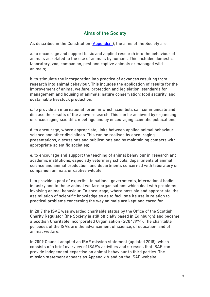# Aims of the Society

<span id="page-5-0"></span>As described in the Constitution [\(Appendix I\)](#page-35-0), the aims of the Society are:

a. to encourage and support basic and applied research into the behaviour of animals as related to the use of animals by humans. This includes domestic, laboratory, zoo, companion, pest and captive animals or managed wild animals;

b. to stimulate the incorporation into practice of advances resulting from research into animal behaviour. This includes the application of results for the improvement of animal welfare, protection and legislation; standards for management and housing of animals; nature conservation; food security; and sustainable livestock production.

c. to provide an international forum in which scientists can communicate and discuss the results of the above research. This can be achieved by organising or encouraging scientific meetings and by encouraging scientific publications;

d. to encourage, where appropriate, links between applied animal behaviour science and other disciplines. This can be realised by encouraging presentations, discussions and publications and by maintaining contacts with appropriate scientific societies;

e. to encourage and support the teaching of animal behaviour in research and academic institutions, especially veterinary schools, departments of animal science and animal production, and departments concerned with laboratory or companion animals or captive wildlife;

f. to provide a pool of expertise to national governments, international bodies, industry and to those animal welfare organisations which deal with problems involving animal behaviour. To encourage, where possible and appropriate, the assimilation of scientific knowledge so as to facilitate its use in relation to practical problems concerning the way animals are kept and cared for.

In 2017 the ISAE was awarded charitable status by the Office of the Scottish Charity Regulator (the Society is still officially based in Edinburgh) and became a Scottish Charitable Incorporated Organisation (SC047974). The charitable purposes of the ISAE are the advancement of science, of education, and of animal welfare.

In 2009 Council adopted an ISAE mission statement (updated 2018), which consists of a brief overview of ISAE's activities and stresses that ISAE can provide independent expertise on animal behaviour to third parties. The mission statement appears as Appendix V and on the ISAE website.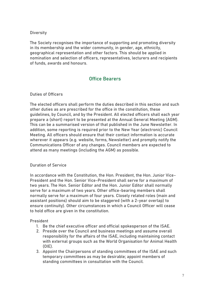# <span id="page-6-0"></span>**Diversity**

The Society recognises the importance of supporting and promoting diversity in its membership and the wider community, in gender, age, ethnicity, geographical representation and other factors. This should be applied in nomination and selection of officers, representatives, lecturers and recipients of funds, awards and honours.

# Office Bearers

# <span id="page-6-2"></span><span id="page-6-1"></span>Duties of Officers

The elected officers shall perform the duties described in this section and such other duties as are prescribed for the office in the constitution, these guidelines, by Council, and by the President. All elected officers shall each year prepare a (short) report to be presented at the Annual General Meeting (AGM). This can be a summarised version of that published in the June Newsletter. In addition, some reporting is required prior to the New Year (electronic) Council Meeting. All officers should ensure that their contact information is accurate wherever it appears (e.g. website, forms, Newsletter) and promptly notify the Communications Officer of any changes. Council members are expected to attend as many meetings (including the AGM) as possible.

# <span id="page-6-3"></span>Duration of Service

In accordance with the Constitution, the Hon. President, the Hon. Junior Vice-President and the Hon. Senior Vice-President shall serve for a maximum of two years. The Hon. Senior Editor and the Hon. Junior Editor shall normally serve for a maximum of two years. Other office-bearing members shall normally serve for a maximum of four years. Closely related roles (main and assistant positions) should aim to be staggered (with a 2-year overlap) to ensure continuity). Other circumstances in which a Council Officer will cease to hold office are given in the constitution.

### <span id="page-6-4"></span>President

- 1. Be the chief executive officer and official spokesperson of the ISAE.
- 2. Preside over the Council and business meetings and assume overall responsibility for the affairs of the ISAE, including maintaining contact with external groups such as the World Organisation for Animal Health (OIE).
- 3. Appoint the Chairpersons of standing committees of the ISAE and such temporary committees as may be desirable; appoint members of standing committees in consultation with the Council.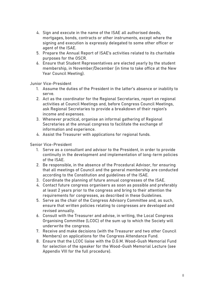- 4. Sign and execute in the name of the ISAE all authorised deeds, mortgages, bonds, contracts or other instruments, except where the signing and execution is expressly delegated to some other officer or agent of the ISAE.
- 5. Prepare the Annual Report of ISAE's activities related to its charitable purposes for the OSCR.
- 6. Ensure that Student Representatives are elected yearly by the student membership, in November/December (in time to take office at the New Year Council Meeting).

<span id="page-7-0"></span>Junior Vice-President

- 1. Assume the duties of the President in the latter's absence or inability to serve.
- 2. Act as the coordinator for the Regional Secretaries, report on regional activities at Council Meetings and, before Congress Council Meetings, ask Regional Secretaries to provide a breakdown of their region's income and expenses.
- 3. Whenever practical, organise an informal gathering of Regional Secretaries at the annual congress to facilitate the exchange of information and experience.
- 4. Assist the Treasurer with applications for regional funds.

<span id="page-7-1"></span>Senior Vice-President

- 1. Serve as a consultant and advisor to the President, in order to provide continuity in the development and implementation of long-term policies of the ISAE.
- 2. Be responsible, in the absence of the Procedural Advisor, for ensuring that all meetings of Council and the general membership are conducted according to the Constitution and guidelines of the ISAE.
- 3. Coordinate the planning of future annual congresses of the ISAE.
- 4. Contact future congress organisers as soon as possible and preferably at least 2 years prior to the congress and bring to their attention the requirements for congresses, as described in these Guidelines.
- 5. Serve as the chair of the Congress Advisory Committee and, as such, ensure that written policies relating to congresses are developed and revised annually.
- 6. Consult with the Treasurer and advise, in writing, the Local Congress Organising Committee (LCOC) of the sum up to which the Society will underwrite the congress.
- 7. Receive and make decisions (with the Treasurer and two other Council Members) on applications for the Congress Attendance Fund.
- 8. Ensure that the LCOC liaise with the D.G.M. Wood-Gush Memorial Fund for selection of the speaker for the Wood-Gush Memorial Lecture (see Appendix VIII for the full procedure).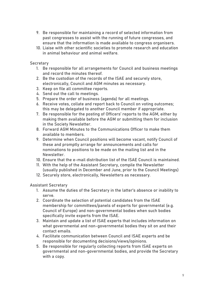- 9. Be responsible for maintaining a record of selected information from past congresses to assist with the running of future congresses, and ensure that the information is made available to congress organisers.
- 10. Liaise with other scientific societies to promote research and education in animal behaviour and animal welfare.

# <span id="page-8-0"></span>**Secretary**

- 1. Be responsible for all arrangements for Council and business meetings and record the minutes thereof.
- 2. Be the custodian of the records of the ISAE and securely store, electronically, Council and AGM minutes as necessary.
- 3. Keep on file all committee reports.
- 4. Send out the call to meetings.
- 5. Prepare the order of business (agenda) for all meetings.
- 6. Receive votes, collate and report back to Council on voting outcomes; this may be delegated to another Council member if appropriate.
- 7. Be responsible for the posting of Officers' reports to the AGM, either by making them available before the AGM or submitting them for inclusion in the Society Newsletter.
- 8. Forward AGM Minutes to the Communications Officer to make them available to members.
- 9. Determine when Council positions will become vacant, notify Council of these and promptly arrange for announcements and calls for nominations to positions to be made on the mailing list and in the Newsletter.
- 10. Ensure that the e-mail distribution list of the ISAE Council is maintained.
- 11. With the help of the Assistant Secretary, compile the Newsletter (usually published in December and June, prior to the Council Meetings)
- 12. Securely store, electronically, Newsletters as necessary.

<span id="page-8-1"></span>Assistant Secretary

- 1. Assume the duties of the Secretary in the latter's absence or inability to serve.
- 2. Coordinate the selection of potential candidates from the ISAE membership for committees/panels of experts for governmental (e.g. Council of Europe) and non-governmental bodies when such bodies specifically invite experts from the ISAE.
- 3. Maintain and update a list of ISAE experts that includes information on what governmental and non-governmental bodies they sit on and their contact emails.
- 4. Facilitate communication between Council and ISAE experts and be responsible for documenting decisions/views/opinions.
- 5. Be responsible for regularly collecting reports from ISAE experts on governmental and non-governmental bodies, and provide the Secretary with a copy.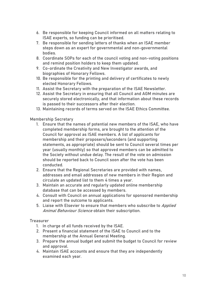- 6. Be responsible for keeping Council informed on all matters relating to ISAE experts, so funding can be prioritised.
- 7. Be responsible for sending letters of thanks when an ISAE member steps down as an expert for governmental and non-governmental bodies.
- 8. Coordinate SOPs for each of the council voting and non-voting positions and remind position holders to keep them updated.
- 9. Co-ordinate the Creativity and New Investigator awards, and biographies of Honorary Fellows.
- 10. Be responsible for the printing and delivery of certificates to newly elected Honorary Fellows.
- 11. Assist the Secretary with the preparation of the ISAE Newsletter.
- 12. Assist the Secretary in ensuring that all Council and AGM minutes are securely stored electronically, and that information about these records is passed to their successors after their election.
- 13. Maintaining records of terms served on the ISAE Ethics Committee.

# <span id="page-9-0"></span>Membership Secretary

- 1. Ensure that the names of potential new members of the ISAE, who have completed membership forms, are brought to the attention of the Council for approval as ISAE members. A list of applicants for membership and their proposers/seconders (and supporting statements, as appropriate) should be sent to Council several times per year (usually monthly) so that approved members can be admitted to the Society without undue delay. The result of the vote on admission should be reported back to Council soon after the vote has been conducted.
- 2. Ensure that the Regional Secretaries are provided with names, addresses and email addresses of new members in their Region and circulate an updated list to them 4 times a year.
- 3. Maintain an accurate and regularly updated online membership database that can be accessed by members.
- 4. Consult with Council on annual applications for sponsored membership and report the outcome to applicants.
- 5. Liaise with Elsevier to ensure that members who subscribe to Applied Animal Behaviour Science obtain their subscription.

# <span id="page-9-1"></span>**Treasurer**

- 1. In charge of all funds received by the ISAE.
- 2. Present a financial statement of the ISAE to Council and to the membership at the Annual General Meeting.
- 3. Prepare the annual budget and submit the budget to Council for review and approval.
- 4. Maintain ISAE accounts and ensure that they are independently examined each year.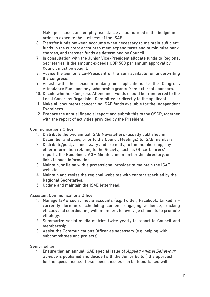- 5. Make purchases and employ assistance as authorised in the budget in order to expedite the business of the ISAE.
- 6. Transfer funds between accounts when necessary to maintain sufficient funds in the current account to meet expenditures and to minimise bank charges, and transfer funds as determined by Council.
- 7. In consultation with the Junior Vice-President allocate funds to Regional Secretaries. If the amount exceeds GBP 500 per annum approval by Council must be sought.
- 8. Advise the Senior Vice-President of the sum available for underwriting the congress.
- 9. Assist with the decision making on applications to the Congress Attendance Fund and any scholarship grants from external sponsors.
- 10. Decide whether Congress Attendance Funds should be transferred to the Local Congress Organising Committee or directly to the applicant.
- 11. Make all documents concerning ISAE funds available for the Independent Examiners.
- 12. Prepare the annual financial report and submit this to the OSCR, together with the report of activities provided by the President.

<span id="page-10-0"></span>Communications Officer

- 1. Distribute the two annual ISAE Newsletters (usually published in December and June, prior to the Council Meetings) to ISAE members.
- 2. Distribute/post, as necessary and promptly, to the membership, any other information relating to the Society, such as Office-bearers' reports, the Guidelines, AGM Minutes and membership directory, or links to such information.
- 3. Maintain, or liaise with a professional provider to maintain the ISAE website.
- 4. Maintain and revise the regional websites with content specified by the Regional Secretaries.
- 5. Update and maintain the ISAE letterhead.

<span id="page-10-1"></span>Assistant Communications Officer

- 1. Manage ISAE social media accounts (e.g. twitter, Facebook, LinkedIn currently dormant): scheduling content, engaging audience, tracking efficacy and coordinating with members to leverage channels to promote ethology.
- 2. Summarize social media metrics twice yearly to report to Council and membership.
- 3. Assist the Communications Officer as necessary (e.g. helping with subcommittees and projects).

<span id="page-10-2"></span>Senior Editor

1. Ensure that an annual ISAE special issue of Applied Animal Behaviour Science is published and decide (with the Junior Editor) the approach for the special issue. These special issues can be topic-based with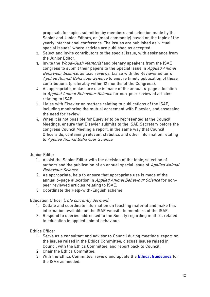proposals for topics submitted by members and selection made by the Senior and Junior Editors, or (most commonly) based on the topic of the yearly international conference. The issues are published as 'virtual special issues,' where articles are published as accepted.

- 2. Select and invite contributors to the special issue, with assistance from the Junior Editor.
- 3. Invite the Wood-Gush Memorial and plenary speakers from the ISAE congress to submit their papers to the Special Issue in Applied Animal Behaviour Science, as lead reviews. Liaise with the Reviews Editor of Applied Animal Behaviour Science to ensure timely publication of these contributions (preferably within 12 months of the Congress).
- 4. As appropriate, make sure use is made of the annual 6-page allocation in Applied Animal Behaviour Science for non-peer reviewed articles relating to ISAE.
- 5. Liaise with Elsevier on matters relating to publications of the ISAE, including monitoring the mutual agreement with Elsevier, and assessing the need for review.
- 6. When it is not possible for Elsevier to be represented at the Council Meetings, ensure that Elsevier submits to the ISAE Secretary before the congress Council Meeting a report, in the same way that Council Officers do, containing relevant statistics and other information relating to Applied Animal Behaviour Science.

### <span id="page-11-0"></span>Junior Editor

- 1. Assist the Senior Editor with the decision of the topic, selection of authors and the publication of an annual special issue of Applied Animal Behaviour Science.
- 2. As appropriate, help to ensure that appropriate use is made of the annual 6-page allocation in Applied Animal Behaviour Science for nonpeer reviewed articles relating to ISAE.
- 3. Coordinate the Help-with-English scheme.

### <span id="page-11-1"></span>Education Officer (role currently dormant)

- 1. Collate and coordinate information on teaching material and make this information available on the ISAE website to members of the ISAE.
- 2. Respond to queries addressed to the Society regarding matters related to education in applied animal behaviour.

### <span id="page-11-2"></span>Ethics Officer

- 1. Serve as a consultant and advisor to Council during meetings, report on the issues raised in the Ethics Committee, discuss issues raised in Council with the Ethics Committee, and report back to Council.
- 2. Chair the Ethics Committee.
- 3. With the Ethics Committee, review and update the **Ethical Guidelines** for the ISAE as needed.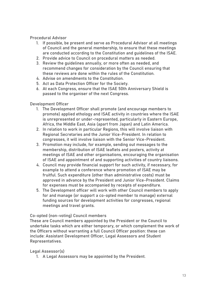<span id="page-12-0"></span>Procedural Advisor

- 1. If possible, be present and serve as Procedural Advisor at all meetings of Council and the general membership, to ensure that these meetings are conducted according to the Constitution and guidelines of the ISAE.
- 2. Provide advice to Council on procedural matters as needed.
- 3. Review the guidelines annually, or more often as needed, and recommend changes for consideration by the Council ensuring that these reviews are done within the rules of the Constitution.
- 4. Advise on amendments to the Constitution.
- 5. Act as Data Protection Officer for the Society.
- 6. At each Congress, ensure that the ISAE 50th Anniversary Shield is passed to the organiser of the next Congress.

<span id="page-12-1"></span>Development Officer

- 1. The Development Officer shall promote (and encourage members to promote) applied ethology and ISAE activity in countries where the ISAE is unrepresented or under-represented, particularly in Eastern Europe, Africa, the Middle East, Asia (apart from Japan) and Latin America.
- 2. In relation to work in particular Regions, this will involve liaison with Regional Secretaries and the Junior Vice-President. In relation to congresses, it will involve liaison with the Senior Vice-President.
- 3. Promotion may include, for example, sending out messages to the membership, distribution of ISAE leaflets and posters, activity at meetings of ISAE and other organisations, encouraging the organisation of ISAE and appointment of and supporting activities of country liaisons.
- 4. Council may provide financial support for such activity, if necessary, for example to attend a conference where promotion of ISAE may be fruitful. Such expenditure (other than administrative costs) must be approved in advance by the President and Junior Vice-President. Claims for expenses must be accompanied by receipts of expenditure.
- 5. The Development officer will work with other Council members to apply for and manage (or support a co-opted member to manage) external funding sources for development activities for congresses, regional meetings and travel grants.

<span id="page-12-2"></span>Co-opted (non-voting) Council members

These are Council members appointed by the President or the Council to undertake tasks which are either temporary, or which complement the work of the Officers without warranting a full Council Officer position: these can include: Assistant Development Officer, Legal Assessors and Student Representatives.

<span id="page-12-3"></span>Legal Assessor(s)

1. A Legal Assessors may be appointed by the President.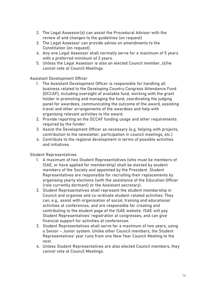- 2. The Legal Assessor(s) can assist the Procedural Advisor with the review of and changes to the guidelines (on request)
- 3. The Legal Assessor can provide advise on amendments to the Constitution (on request).
- 4. Any one Legal Assessor shall normally serve for a maximum of 5 years with a preferred minimum of 3 years.
- 5. Unless the Legal Assessor is also an elected Council member, (s)he cannot vote at Council Meetings.

# <span id="page-13-0"></span>Assistant Development Officer

- 1. The Assistant Development Officer is responsible for handling all business related to the Developing Country Congress Attendance Fund (DCCAF), including oversight of available fund, working with the grant holder in promoting and managing the fund, coordinating the judging panel for awardees, communicating the outcome of the award, assisting travel and other arrangements of the awardees and help with organising relevant activities to the award.
- 2. Provide reporting on the DCCAF funding usage and other requirements required by the funder.
- 3. Assist the Development Officer as necessary (e.g. helping with projects, contribution to the newsletter, participation in council meetings, etc.)
- 4. Contribute to the regional development in terms of possible activities and initiatives.

### <span id="page-13-1"></span>Student Representatives

- 1. A maximum of two Student Representatives (who must be members of ISAE, or have applied for membership) shall be elected by student members of the Society and appointed by the President. Student Representatives are responsible for recruiting their replacements by organising yearly elections (with the assistance of the Education Officer (role currently dormant) or the Assistant secretary).
- 2. Student Representatives shall represent the student membership in Council and organise and co-ordinate student-related activities. They can, e.g., assist with organisation of social, training and educational activities at conferences, and are responsible for creating and contributing to the student page of the ISAE website. ISAE will pay Student Representatives' registration at congresses, and can give financial support for activities at conferences.
- 3. Student Representatives shall serve for a maximum of two years, using a Senior – Junior system. Unlike other Council members, the Student Representatives' year runs from one New Year Council Meeting to the next.
- 4. Unless Student Representatives are also elected Council members, they cannot vote at Council Meetings.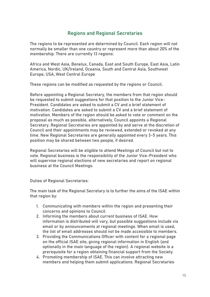# Regions and Regional Secretaries

<span id="page-14-0"></span>The regions to be represented are determined by Council. Each region will not normally be smaller than one country or represent more than about 20% of the membership. There are currently 13 regions:

Africa and West Asia, Benelux, Canada, East and South Europe, East Asia, Latin America, Nordic, UK/Ireland, Oceania, South and Central Asia, Southwest Europe, USA, West Central Europe

These regions can be modified as requested by the regions or Council.

Before appointing a Regional Secretary, the members from that region should be requested to submit suggestions for that position to the Junior Vice-President. Candidates are asked to submit a CV and a brief statement of motivation. Candidates are asked to submit a CV and a brief statement of motivation. Members of the region should be asked to vote or comment on the proposal as much as possible, alternatively, Council appoints a Regional Secretary. Regional Secretaries are appointed by and serve at the discretion of Council and their appointments may be reviewed, extended or revoked at any time. New Regional Secretaries are generally appointed every 3-5 years. This position may be shared between two people, if desired.

Regional Secretaries will be eligible to attend Meetings of Council but not to vote. Regional business is the responsibility of the Junior Vice-President who will supervise regional elections of new secretaries and report on regional business at the Council Meetings.

<span id="page-14-1"></span>Duties of Regional Secretaries:

The main task of the Regional Secretary is to further the aims of the ISAE within that region by:

- 1. Communicating with members within the region and presenting their concerns and opinions to Council.
- 2. Informing the members about current business of ISAE. How information is distributed will vary, but possible suggestions include via email or by announcements at regional meetings. When email is used, the list of email addresses should not be made accessible to members.
- 3. Providing the Communications Officer with content for a regional page on the official ISAE site, giving regional information in English (and optionally in the main language of the region). A regional website is a prerequisite for a region obtaining financial support from the Society.
- 4. Promoting membership of ISAE. This can involve attracting new members and helping them submit applications. Regional Secretaries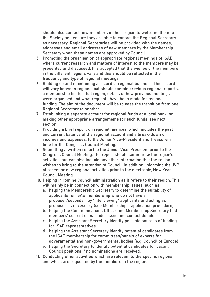should also contact new members in their region to welcome them to the Society and ensure they are able to contact the Regional Secretary as necessary. Regional Secretaries will be provided with the names, addresses and email addresses of new members by the Membership Secretary when these names are approved by Council.

- 5. Promoting the organisation of appropriate regional meetings of ISAE where current research and matters of interest to the members may be presented and discussed. It is accepted that the wishes of the members in the different regions vary and this should be reflected in the frequency and type of regional meetings.
- 6. Building up and maintaining a record of regional business. This record will vary between regions, but should contain previous regional reports, a membership list for that region, details of how previous meetings were organised and what requests have been made for regional funding. The aim of the document will be to ease the transition from one Regional Secretary to another.
- 7. Establishing a separate account for regional funds at a local bank, or making other appropriate arrangements for such funds: see next section.
- 8. Providing a brief report on regional finances, which includes the past and current balance of the regional account and a break-down of incomes and expenses, to the Junior Vice-President and Treasurer in time for the Congress Council Meeting.
- 9. Submitting a written report to the Junior Vice-President prior to the Congress Council Meeting. The report should summarise the region's activities, but can also include any other information that the region wishes to bring to the attention of Council. In addition, informing the JVP of recent or new regional activities prior to the electronic, New Year Council Meeting.
- 10. Helping in routine Council administration as it refers to their region. This will mainly be in connection with membership issues, such as:
	- a. helping the Membership Secretary to determine the suitability of applicants for ISAE membership who do not have a proposer/seconder, by "interviewing" applicants and acting as proposer as necessary (see Membership – application procedure)
	- b. helping the Communications Officer and Membership Secretary find members' current e-mail addresses and contact details
	- c. helping the Assistant Secretary identify possible sources of funding for ISAE representatives
	- d. helping the Assistant Secretary identify potential candidates from the ISAE membership for committees/panels of experts for governmental and non-governmental bodies (e.g. Council of Europe)
	- e. helping the Secretary to identify potential candidates for vacant Council positions if no nominations are received.
- 11. Conducting other activities which are relevant to the specific regions and which are requested by the members in the region.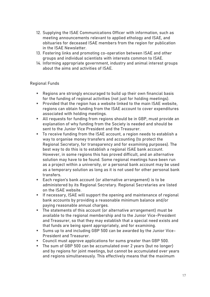- 12. Supplying the ISAE Communications Officer with information, such as meeting announcements relevant to applied ethology and ISAE, and obituaries for deceased ISAE members from the region for publication in the ISAE Newsletter.
- 13. Fostering links and promoting co-operation between ISAE and other groups and individual scientists with interests common to ISAE.
- 14. Informing appropriate government, industry and animal interest groups about the aims and activities of ISAE.

# <span id="page-16-0"></span>Regional Funds

- Regions are strongly encouraged to build up their own financial basis for the funding of regional activities (not just for holding meetings).
- Provided that the region has a website linked to the main ISAE website, regions can obtain funding from the ISAE account to cover expenditures associated with holding meetings.
- All requests for funding from regions should be in GBP, must provide an explanation of why funding from the Society is needed and should be sent to the Junior Vice President and the Treasurer.
- To receive funding from the ISAE account, a region needs to establish a way to organise money transfers and accounting (to protect the Regional Secretary, for transparency and for examining purposes). The best way to do this is to establish a regional ISAE bank account. However, in some regions this has proved difficult, and an alternative solution may have to be found. Some regional meetings have been run as a project within a university, or a personal bank account may be used as a temporary solution as long as it is not used for other personal bank transfers.
- Each region's bank account (or alternative arrangement) is to be administered by its Regional Secretary. Regional Secretaries are listed on the ISAE website.
- **EXPLEM** If necessary, ISAE will support the opening and maintenance of regional bank accounts by providing a reasonable minimum balance and/or paying reasonable annual charges.
- The statements of this account (or alternative arrangement) must be available to the regional membership and to the Junior Vice-President and Treasurer, so that they may establish that a special need exists and that funds are being spent appropriately, and for examining.
- Sums up to and including GBP 500 can be awarded by the Junior Vice-President and Treasurer.
- Council must approve applications for sums greater than GBP 500.
- The sum of GBP 500 can be accumulated over 2 years (but no longer) and by regions for joint meetings, but cannot be accumulated over years and regions simultaneously. This effectively means that the maximum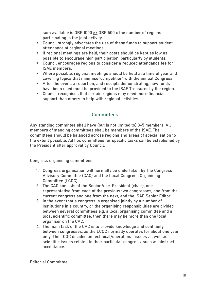sum available is GBP 1000 or GBP 500 x the number of regions participating in the joint activity.

- Council strongly advocates the use of these funds to support student attendance at regional meetings.
- **EXECT:** If regional meetings are held, their costs should be kept as low as possible to encourage high participation, particularly by students.
- Council encourages regions to consider a reduced attendance fee for ISAE members.
- Where possible, regional meetings should be held at a time of year and covering topics that minimise 'competition' with the annual Congress.
- After the event, a report on, and receipts demonstrating, how funds have been used must be provided to the ISAE Treasurer by the region.
- Council recognises that certain regions may need more financial support than others to help with regional activities.

# **Committees**

<span id="page-17-0"></span>Any standing committee shall have (but is not limited to) 3-5 members. All members of standing committees shall be members of the ISAE. The committees should be balanced across regions and areas of specialisation to the extent possible. Ad hoc committees for specific tasks can be established by the President after approval by Council.

<span id="page-17-1"></span>Congress organising committees

- 1. Congress organisation will normally be undertaken by The Congress Advisory Committee (CAC) and the Local Congress Organising Committee (LCOC).
- 2. The CAC consists of the Senior Vice-President (chair), one representative from each of the previous two congresses, one from the current congress and one from the next, and the ISAE Senior Editor.
- 3. In the event that a congress is organised jointly by a number of institutions in a country, or the organising responsibilities are divided between several committees e.g. a local organising committee and a local scientific committee, then there may be more than one local organiser on the CAC.
- 4. The main task of the CAC is to provide knowledge and continuity between congresses, as the LCOC normally operates for about one year only. The LCOC decides on technical/operational issues as well as scientific issues related to their particular congress, such as abstract acceptance.

<span id="page-17-2"></span>Editorial Committee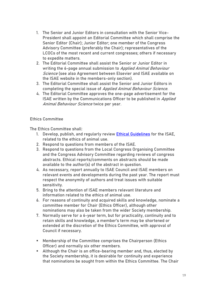- 1. The Senior and Junior Editors in consultation with the Senior Vice-President shall appoint an Editorial Committee which shall comprise the Senior Editor (Chair); Junior Editor; one member of the Congress Advisory Committee (preferably the Chair); representatives of the LCOCs of the most recent and current congresses; others if necessary to expedite matters.
- 2. The Editorial Committee shall assist the Senior or Junior Editor in writing the 6-page annual submission to Applied Animal Behaviour Science (see also Agreement between Elsevier and ISAE available on the ISAE website in the members-only section).
- 3. The Editorial Committee shall assist the Senior and Junior Editors in completing the special issue of Applied Animal Behaviour Science.
- 4. The Editorial Committee approves the one-page advertisement for the ISAE written by the Communications Officer to be published in Applied Animal Behaviour Science twice per year.

# <span id="page-18-0"></span>Ethics Committee

The Ethics Committee shall:

- 1. Develop, publish, and regularly review **Ethical Guidelines** for the ISAE, related to the ethics of animal use.
- 2. Respond to questions from members of the ISAE.
- 3. Respond to questions from the Local Congress Organising Committee and the Congress Advisory Committee regarding reviews of congress abstracts. Ethical reports/comments on abstracts should be made available to the author(s) of the abstract in question.
- 4. As necessary, report annually to ISAE Council and ISAE members on relevant events and developments during the past year. The report must respect the anonymity of authors and treat issues with suitable sensitivity.
- 5. Bring to the attention of ISAE members relevant literature and information related to the ethics of animal use.
- 6. For reasons of continuity and acquired skills and knowledge, nominate a committee member for Chair (Ethics Officer), although other nominations may also be taken from the wider Society membership.
- 7. Normally serve for a 6-year term, but for practicality, continuity and to retain skills and knowledge, a member's term may be shortened or extended at the discretion of the Ethics Committee, with approval of Council if necessary.
- Membership of the Committee comprises the Chairperson (Ethics Officer) and normally six other members.
- Although the Chair is an office-bearing member and, thus, elected by the Society membership, it is desirable for continuity and experience that nominations be sought from within the Ethics Committee. The Chair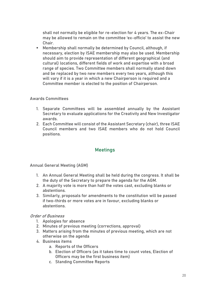shall not normally be eligible for re-election for 4 years. The ex-Chair may be allowed to remain on the committee 'ex-officio' to assist the new Chair.

■ Membership shall normally be determined by Council, although, if necessary, election by ISAE membership may also be used. Membership should aim to provide representation of different geographical (and cultural) locations, different fields of work and expertise with a broad range of species. Two Committee members shall normally stand down and be replaced by two new members every two years, although this will vary if it is a year in which a new Chairperson is required and a Committee member is elected to the position of Chairperson.

# <span id="page-19-0"></span>Awards Committees

- 1. Separate Committees will be assembled annually by the Assistant Secretary to evaluate applications for the Creativity and New Investigator awards.
- 2. Each Committee will consist of the Assistant Secretary (chair), three ISAE Council members and two ISAE members who do not hold Council positions.

# **Meetings**

<span id="page-19-2"></span><span id="page-19-1"></span>Annual General Meeting (AGM)

- 1. An Annual General Meeting shall be held during the congress. It shall be the duty of the Secretary to prepare the agenda for the AGM.
- 2. A majority vote is more than half the votes cast, excluding blanks or abstentions.
- 3. Similarly, proposals for amendments to the constitution will be passed if two-thirds or more votes are in favour, excluding blanks or abstentions.

### Order of Business

- 1. Apologies for absence
- 2. Minutes of previous meeting (corrections, approval)
- 3. Matters arising from the minutes of previous meeting, which are not otherwise on the agenda
- 4. Business items
	- a. Reports of the Officers
	- b. Election of Officers (as it takes time to count votes, Election of Officers may be the first business item)
	- c. Standing Committee Reports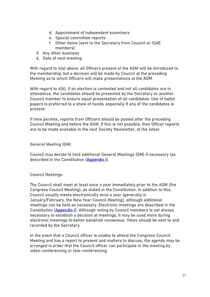- d. Appointment of independent examiners
- e. Special committee reports
- f. Other items (sent to the Secretary from Council or ISAE members)
- 5. Any other business
- 6. Date of next meeting

With regard to 4(a) above, all Officers present at the AGM will be introduced to the membership, but a decision will be made by Council at the preceding Meeting as to which Officers will make presentations at the AGM.

With regard to 4(b), if an election is contested and not all candidates are in attendance, the candidates should be presented by the Secretary or another Council member to ensure equal presentation of all candidates. Use of ballot papers is preferred to a show of hands, especially if any of the candidates is present.

If time permits, reports from Officers should be posted after the preceding Council Meeting and before the AGM. If this is not possible, then Officer reports are to be made available in the next Society Newsletter, at the latest.

General Meeting (GM)

Council may decide to hold additional General Meetings (GM) if necessary (as described in the Constitution [\(Appendix I\)](#page-35-0).

# <span id="page-20-0"></span>Council Meetings

The Council shall meet at least once a year immediately prior to the AGM (the Congress Council Meeting), as stated in the Constitution. In addition to this, Council usually meets electronically once a year (generally in January/February, the New Year Council Meeting), although additional meetings can be held as necessary. Electronic meetings are described in the Constitution (**Appendix I**). Although voting by Council members is not always necessary to establish a decision at meetings, it may be used more during electronic meetings to better establish consensus. Votes should be sent to and recorded by the Secretary.

In the event that a Council officer is unable to attend the Congress Council Meeting and has a report to present and matters to discuss, the agenda may be arranged in order that the Council officer can participate in the meeting by video-conferencing or tele-conferencing.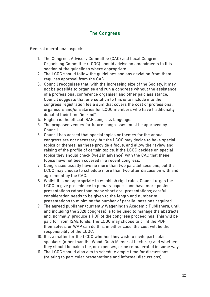# The Congress

<span id="page-21-1"></span><span id="page-21-0"></span>General operational aspects

- 1. The Congress Advisory Committee (CAC) and Local Congress Organising Committee (LCOC) should advise on amendments to this section of the guidelines where appropriate.
- 2. The LCOC should follow the guidelines and any deviation from them requires approval from the CAC.
- 3. Council recognises that, with the increasing size of the Society, it may not be possible to organise and run a congress without the assistance of a professional conference organiser and other paid assistance. Council suggests that one solution to this is to include into the congress registration fee a sum that covers the cost of professional organisers and/or salaries for LCOC members who have traditionally donated their time "in-kind".
- 4. English is the official ISAE congress language.
- 5. The proposed venues for future congresses must be approved by Council.
- 6. Council has agreed that special topics or themes for the annual congress are not necessary, but the LCOC may decide to have special topics or themes, as these provide a focus, and allow the review and raising of the profile of certain topics. If the LCOC decides on special topics they should check (well in advance) with the CAC that these topics have not been covered in a recent congress.
- 7. Congresses usually have no more than two parallel sessions, but the LCOC may choose to schedule more than two after discussion with and agreement by the CAC.
- 8. Whilst it is not appropriate to establish rigid rules, Council urges the LCOC to give precedence to plenary papers, and have more poster presentations rather than many short oral presentations; careful consideration needs to be given to the length and number of presentations to minimise the number of parallel sessions required.
- 9. The agreed publisher (currently Wageningen Academic Publishers, until and including the 2020 congress) is to be used to manage the abstracts and, normally, produce a PDF of the congress proceedings. This will be paid for from ISAE funds. The LCOC may choose to print the PDF themselves, or WAP can do this; in either case, the cost will be the responsibility of the LCOC.
- 10. It is a matter for the LCOC whether they wish to invite particular speakers (other than the Wood-Gush Memorial Lecturer) and whether they should be paid a fee, or expenses, or be remunerated in some way.
- 11. The LCOC should also aim to schedule ample time for discussions (relating to particular presentations and informal discussions).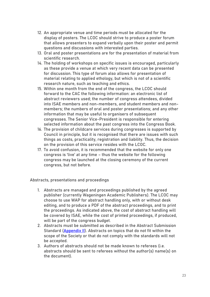- 12. An appropriate venue and time periods must be allocated for the display of posters. The LCOC should strive to produce a poster forum that allows presenters to expand verbally upon their poster and permit questions and discussions with interested parties.
- 13. Oral and poster presentations are for the presentation of material from scientific research.
- 14. The holding of workshops on specific issues is encouraged, particularly as these provide a venue at which very recent data can be presented for discussion. This type of forum also allows for presentation of material relating to applied ethology, but which is not of a scientific research nature, such as teaching and ethics.
- 15. Within one month from the end of the congress, the LCOC should forward to the CAC the following information: an electronic list of abstract reviewers used; the number of congress attendees, divided into ISAE members and non-members, and student members and nonmembers; the numbers of oral and poster presentations; and any other information that may be useful to organisers of subsequent congresses. The Senior Vice-President is responsible for entering selected information about the past congress into the Congress Book.
- 16. The provision of childcare services during congresses is supported by Council in principle, but it is recognised that there are issues with such things as costs, practicality, registration and liability. Thus, the decision on the provision of this service resides with the LCOC.
- 17. To avoid confusion, it is recommended that the website for only one congress is 'live' at any time – thus the website for the following congress may be launched at the closing ceremony of the current congress, but not before.

<span id="page-22-0"></span>Abstracts, presentations and proceedings

- 1. Abstracts are managed and proceedings published by the agreed publisher (currently Wageningen Academic Publishers). The LCOC may choose to use WAP for abstract handling only, with or without desk editing, and to produce a PDF of the abstract proceedings, and to print the proceedings. As indicated above, the cost of abstract handling will be covered by ISAE, while the cost of printed proceedings, if produced, will be part of the congress budget.
- 2. Abstracts must be submitted as described in the Abstract Submission Standard [\(Appendix II\)](#page-35-1). Abstracts on topics that do not fit within the scope of the Society or that do not comply with the standards will not be accepted.
- 3. Authors of abstracts should not be made known to referees (i.e. abstracts should be sent to referees without the author(s) name(s) on the document).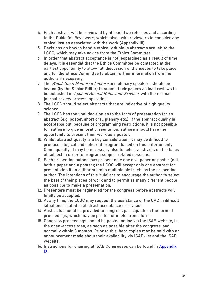- 4. Each abstract will be reviewed by at least two referees and according to the Guide for Reviewers, which, also, asks reviewers to consider any ethical issues associated with the work (Appendix III).
- 5. Decisions on how to handle ethically dubious abstracts are left to the LCOC, which may take advice from the Ethics Committee.
- 6. In order that abstract acceptance is not jeopardised as a result of time delays, it is essential that the Ethics Committee be contacted at the earliest opportunity to allow full discussion of the issues to take place and for the Ethics Committee to obtain further information from the authors if necessary.
- 7. The Wood-Gush Memorial Lecture and plenary speakers should be invited (by the Senior Editor) to submit their papers as lead reviews to be published in Applied Animal Behaviour Science, with the normal journal review process operating.
- 8. The LCOC should select abstracts that are indicative of high quality science.
- 9. The LCOC has the final decision as to the form of presentation for an abstract (e.g. poster, short oral, plenary etc.). If the abstract quality is acceptable but, because of programming restrictions, it is not possible for authors to give an oral presentation, authors should have the opportunity to present their work as a poster.
- 10. Whilst abstract quality is a key consideration, it may be difficult to produce a logical and coherent program based on this criterion only. Consequently, it may be necessary also to select abstracts on the basis of subject in order to program subject-related sessions.
- 11. Each presenting author may present only one oral paper or poster (not both a paper and a poster); the LCOC will accept only one abstract for presentation if an author submits multiple abstracts as the presenting author. The intentions of this 'rule' are to encourage the author to select the best of their pieces of work and to permit as many different people as possible to make a presentation.
- 12. Presenters must be registered for the congress before abstracts will finally be accepted.
- 13. At any time, the LCOC may request the assistance of the CAC in difficult situations related to abstract acceptance or revision.
- 14. Abstracts should be provided to congress participants in the form of proceedings, which may be printed or in electronic form.
- 15. Congress proceedings should be posted online via the ISAE website, in the open-access area, as soon as possible after the congress, and normally within 3 months. Prior to this, hard copies may be sold with an announcement made about their availability via ISAE-list and the ISAE website.
- 16. Instructions for chairing at ISAE Congresses can be found in **Appendix** [IX.](#page-54-0)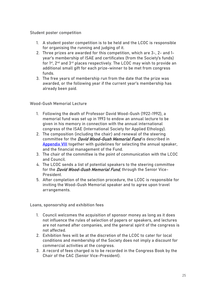### <span id="page-24-0"></span>Student poster competition

- 1. A student poster competition is to be held and the LCOC is responsible for organising the running and judging of it.
- 2. Three prizes are awarded for this competition, which are 3-, 2- and 1 year's membership of ISAE and certificates (from the Society's funds) for 1st, 2nd and 3rd places respectively. The LCOC may wish to provide an additional small gift for each prize-winner to be met from congress funds.
- 3. The free years of membership run from the date that the prize was awarded, or the following year if the current year's membership has already been paid.

# <span id="page-24-1"></span>Wood-Gush Memorial Lecture

- 1. Following the death of Professor David Wood-Gush (1922-1992), a memorial fund was set up in 1993 to endow an annual lecture to be given in his memory in connection with the annual international congress of the ISAE (International Society for Applied Ethology).
- 2. The composition (including the chair) and renewal of the steering committee for the *David Wood-Gush Memorial Fund* is described in [Appendix VIII](#page-52-0) together with guidelines for selecting the annual speaker, and the financial management of the Fund.
- 3. The chair of the committee is the point of communication with the LCOC and Council.
- 4. The LCOC sends a list of potential speakers to the steering committee for the *David Wood-Gush Memorial Fund*, through the Senior Vice-President.
- 5. After completion of the selection procedure, the LCOC is responsible for inviting the Wood-Gush Memorial speaker and to agree upon travel arrangements.

<span id="page-24-2"></span>Loans, sponsorship and exhibition fees

- 1. Council welcomes the acquisition of sponsor money as long as it does not influence the rules of selection of papers or speakers, and lectures are not named after companies, and the general spirit of the congress is not affected.
- 2. Exhibition fees will be at the discretion of the LCOC to cater for local conditions and membership of the Society does not imply a discount for commercial activities at the congress.
- 3. A record of fees charged is to be recorded in the Congress Book by the Chair of the CAC (Senior Vice-President).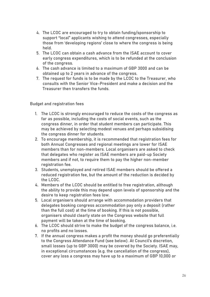- 4. The LCOC are encouraged to try to obtain funding/sponsorship to support "local" applicants wishing to attend congresses, especially those from 'developing regions' close to where the congress is being held.
- 5. The LCOC can obtain a cash advance from the ISAE account to cover early congress expenditures, which is to be refunded at the conclusion of the congress.
- 6. The cash advance is limited to a maximum of GBP 3000 and can be obtained up to 2 years in advance of the congress.
- 7. The request for funds is to be made by the LCOC to the Treasurer, who consults with the Senior Vice-President and make a decision and the Treasurer then transfers the funds.

<span id="page-25-0"></span>Budget and registration fees

- 1. The LCOC is strongly encouraged to reduce the costs of the congress as far as possible, including the costs of social events, such as the congress dinner, in order that student members can participate. This may be achieved by selecting modest venues and perhaps subsidising the congress dinner for students.
- 2. To encourage membership, it is recommended that registration fees for both Annual Congresses and regional meetings are lower for ISAE members than for non-members. Local organisers are asked to check that delegates who register as ISAE members are paid-up Society members and if not, to require them to pay the higher non-member registration fee.
- 3. Students, unemployed and retired ISAE members should be offered a reduced registration fee, but the amount of the reduction is decided by the LCOC.
- 4. Members of the LCOC should be entitled to free registration, although the ability to provide this may depend upon levels of sponsorship and the desire to keep registration fees low.
- 5. Local organisers should arrange with accommodation providers that delegates booking congress accommodation pay only a deposit (rather than the full cost) at the time of booking. If this is not possible, organisers should clearly state on the Congress website that full payment will be taken at the time of booking.
- 6. The LCOC should strive to make the budget of the congress balance, i.e. no profits and no losses.
- 7. If the annual congress makes a profit the money should go preferentially to the Congress Attendance Fund (see below). At Council's discretion, small losses (up to GBP 3000) may be covered by the Society. ISAE may, in exceptional circumstances (e.g. the cancellation of the congress), cover any loss a congress may have up to a maximum of GBP 10,000 or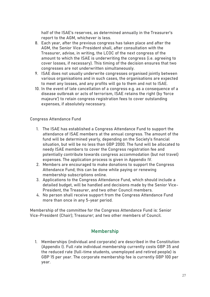half of the ISAE's reserves, as determined annually in the Treasurer's report to the AGM, whichever is less.

- 8. Each year, after the previous congress has taken place and after the AGM, the Senior Vice-President shall, after consultation with the Treasurer, advise, in writing, the LCOC of the next congress of the amount to which the ISAE is underwriting the congress (i.e. agreeing to cover losses, if necessary). This timing of the decision ensures that two congresses are not underwritten simultaneously.
- 9. ISAE does not usually underwrite congresses organised jointly between various organisations and in such cases, the organisations are expected to meet any losses, and any profits will go to them and not to ISAE.
- 10. In the event of late cancellation of a congress e.g. as a consequence of a disease outbreak or acts of terrorism, ISAE retains the right (by 'force majeure') to retain congress registration fees to cover outstanding expenses, if absolutely necessary.

# <span id="page-26-0"></span>Congress Attendance Fund

- 1. The ISAE has established a Congress Attendance Fund to support the attendance of ISAE members at the annual congress. The amount of the fund will be determined yearly, depending on the Society's financial situation, but will be no less than GBP 2000. The fund will be allocated to needy ISAE members to cover the Congress registration fee and potentially contribute towards congress accommodation (but not travel) expenses. The application process is given in Appendix IV.
- 2. Members are encouraged to make donations to support the Congress Attendance Fund; this can be done while paying or renewing membership subscriptions online.
- 3. Applications to the Congress Attendance Fund, which should include a detailed budget, will be handled and decisions made by the Senior Vice-President, the Treasurer, and two other Council members.
- 4. No person shall receive support from the Congress Attendance Fund more than once in any 5-year period.

Membership of the committee for the Congress Attendance Fund is: Senior Vice-President (Chair); Treasurer; and two other members of Council.

# Membership

<span id="page-26-1"></span>1. Memberships (individual and corporate) are described in the Constitution (Appendix I). Full rate individual membership currently costs GBP 35 and the reduced rate (full-time students, unemployed and retired people) is GBP 15 per year. The corporate membership fee is currently GBP 100 per year.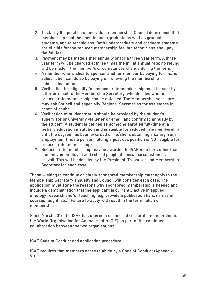- 2. To clarify the position on individual membership, Council determined that membership shall be open to undergraduate as well as graduate students, and to technicians. Both undergraduate and graduate students are eligible for the reduced membership fee, but technicians shall pay the full fee.
- 3. Payment may be made either annually or for a three year term. A three year term will be charged at three times the initial annual rate; no refund will be made if the member's circumstances change during the term.
- 4. A member who wishes to sponsor another member by paying for his/her subscription can do so by paying or renewing the membership subscription online.
- 5. Verification for eligibility for reduced rate membership must be sent by letter or email to the Membership Secretary, who decides whether reduced rate membership can be obtained. The Membership secretary may ask Council and especially Regional Secretaries for assistance in cases of doubt.
- 6. Verification of student status should be provided by the student's supervisor or university via letter or email, and confirmed annually by the student. A student is defined as someone enrolled full-time at a tertiary education institution and is eligible for reduced rate membership until the degree has been awarded or he/she is obtaining a salary from employment (thus a person holding a post doc position is NOT eligible for reduced rate membership).
- 7. Reduced rate membership may be awarded to ISAE members other than students, unemployed and retired people if special circumstances prevail. This will be decided by the President, Treasurer and Membership Secretary for each case.

Those wishing to continue or obtain sponsored membership must apply to the Membership Secretary annually and Council will consider each case. The application must state the reasons why sponsored membership is needed and include a demonstration that the applicant is currently active in applied ethology research and/or teaching (e.g. provide a publication lists, names of courses taught, etc.). Failure to apply will result in the termination of membership.

Since March 2017, the ISAE has offered a sponsored corporate membership to the World Organisation for Animal Health (OIE) as part of the continued collaboration between the two organisations.

<span id="page-27-0"></span>ISAE Code of Conduct and application procedure

ISAE requires that members agree to abide by a Code of Conduct (Appendix VI).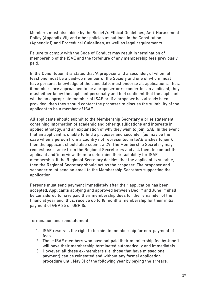Members must also abide by the Society's Ethical Guidelines, Anti-Harassment Policy (Appendix VII) and other policies as outlined in the Constitution (Appendix I) and Procedural Guidelines, as well as legal requirements.

Failure to comply with the Code of Conduct may result in termination of membership of the ISAE and the forfeiture of any membership fees previously paid.

In the Constitution it is stated that 'A proposer and a seconder, of whom at least one must be a paid-up member of the Society and one of whom must have personal knowledge of the candidate, must endorse all applications. Thus, if members are approached to be a proposer or seconder for an applicant, they must either know the applicant personally and feel confident that the applicant will be an appropriate member of ISAE or, if a proposer has already been provided, then they should contact the proposer to discuss the suitability of the applicant to be a member of ISAE.

All applicants should submit to the Membership Secretary a brief statement containing information of academic and other qualifications and interests in applied ethology, and an explanation of why they wish to join ISAE. In the event that an applicant is unable to find a proposer and seconder (as may be the case when a person from a country not represented in ISAE wishes to join), then the applicant should also submit a CV. The Membership Secretary may request assistance from the Regional Secretaries and ask them to contact the applicant and 'interview' them to determine their suitability for ISAE membership. If the Regional Secretary decides that the applicant is suitable, then the Regional Secretary should act as the proposer. The proposer and seconder must send an email to the Membership Secretary supporting the application.

Persons must send payment immediately after their application has been accepted. Applicants applying and approved between Dec 1<sup>st</sup> and June 1<sup>st</sup> shall be considered to have paid their membership dues for the remainder of the financial year and, thus, receive up to 18 month's membership for their initial payment of GBP 35 or GBP 15.

<span id="page-28-0"></span>Termination and reinstatement

- 1. ISAE reserves the right to terminate membership for non-payment of fees.
- 2. Those ISAE members who have not paid their membership fee by June 1 will have their membership terminated automatically and immediately.
- 3. However, all these ex-members (i.e. those that have missed one payment) can be reinstated and without any formal application procedure until May 31 of the following year by paying the arrears.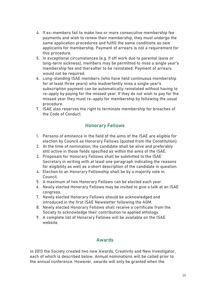- 4. If ex-members fail to make two or more consecutive membership fee payments and wish to renew their membership, they must undergo the same application procedures and fulfill the same conditions as new applicants for membership. Payment of arrears is not a requirement for this procedure.
- 5. In exceptional circumstances (e.g. if off work due to parental leave or long-term sickness), members may be permitted to miss a single year's membership fee and thereafter to be reinstated. Payment of arrears would not be required.
- 6. Long-standing ISAE members (who have held continuous membership for at least three years) who inadvertently miss a single year's subscription payment can be automatically reinstated without having to re-apply by paying for the missed year. If they do not wish to pay for the missed year they must re-apply for membership by following the usual procedure.
- 7. ISAE also reserves the right to terminate membership for breaches of the Code of Conduct.

# Honorary Fellows

- <span id="page-29-0"></span>1. Persons of eminence in the field of the aims of the ISAE are eligible for election by Council as Honorary Fellows (quoted from the Constitution).
- 2. At the time of nomination, the candidate shall be alive and preferably still active in those fields specified as within the aims of the ISAE.
- 3. Proposals for Honorary Fellows shall be submitted to the ISAE Secretary in writing with at least one paragraph indicating the reasons for eligibility as well as a short description of the candidate in question.
- 4. Election to an Honorary Fellowship shall be by a majority vote in Council.
- 5. A maximum of two Honorary Fellows can be elected each year.
- 6. Newly elected Honorary Fellows may be invited to give a talk at an ISAE congress.
- 7. Newly elected Honorary Fellows should be acknowledged and introduced in the first ISAE Newsletter following the AGM.
- 8. Newly elected Honorary Fellows shall receive a certificate from the Society to acknowledge their contribution to applied ethology.
- 9. A complete list of Honorary Fellows will be available on the ISAE website.

# Awards

<span id="page-29-1"></span>In 2013 the Society created two new Awards, Creativity and New Investigator, each of which is described below. Annual nominations will be called prior to the annual conference. However, awards will only be granted when the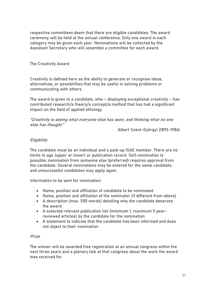respective committees deem that there are eligible candidates. The award ceremony will be held at the annual conference. Only one award in each category may be given each year. Nominations will be collected by the Assistant Secretary who will assemble a committee for each award.

# <span id="page-30-0"></span>The Creativity Award

Creativity is defined here as the ability to generate or recognise ideas, alternatives, or possibilities that may be useful in solving problems or communicating with others.

The award is given to a candidate, who – displaying exceptional creativity – has contributed research/a theory/a concept/a method that has had a significant impact on the field of applied ethology.

"Creativity is seeing what everyone else has seen, and thinking what no one else has thought."

Albert Szent-Györgyi (1893-1986)

# **Eligibility**

The candidate must be an individual and a paid-up ISAE member. There are no limits to age (upper or lower) or publication record. Self-nomination is possible; nomination from someone else (preferred) requires approval from the candidate. Several nominations may be entered for the same candidate, and unsuccessful candidates may apply again.

Information to be sent for nomination:

- Name, position and affiliation of candidate to be nominated
- Name, position and affiliation of the nominator (if different from above)
- A description (max. 500 words) detailing why the candidate deserves the award
- A selected relevant publication list (minimum 1, maximum 5 peerreviewed articles) by the candidate for the nomination
- A statement to indicate that the candidate has been informed and does not object to their nomination

# Prize

The winner will be awarded free registration at an annual congress within the next three years and a plenary talk at that congress about the work the award was received for.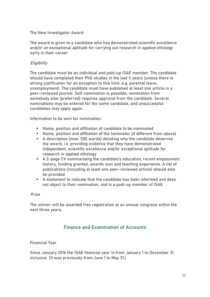### <span id="page-31-0"></span>The New Investigator Award

The award is given to a candidate who has demonstrated scientific excellence and/or an exceptional aptitude for carrying out research in applied ethology early in their career.

# **Eligibility**

The candidate must be an individual and paid-up ISAE member. The candidate should have completed their PhD studies in the last 5 years (unless there is strong justification for an exception to this limit, e.g. parental leave, unemployment). The candidate must have published at least one article in a peer-reviewed journal. Self-nomination is possible; nomination from somebody else (preferred) requires approval from the candidate. Several nominations may be entered for the same candidate, and unsuccessful candidates may apply again.

Information to be sent for nomination:

- Name, position and affiliation of candidate to be nominated
- Name, position and affiliation of the nominator (if different from above)
- A description (max. 500 words) detailing why the candidate deserves the award, i.e. providing evidence that they have demonstrated independent, scientific excellence and/or exceptional aptitude for research in applied ethology
- A 2-page CV summarising the candidate's education, recent employment history, funding granted, awards won and teaching experience. A list of publications (including at least one peer-reviewed article) should also be provided
- A statement to indicate that the candidate has been informed and does not object to their nomination, and is a paid-up member of ISAE

# Prize

The winner will be awarded free registration at an annual congress within the next three years.

# Finance and Examination of Accounts

### <span id="page-31-2"></span><span id="page-31-1"></span>Financial Year

Since January 2016 the ISAE financial year is from January 1 to December 31 inclusive. (It was previously from June 1 to May 31.)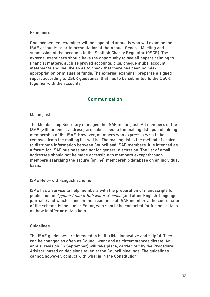### <span id="page-32-0"></span>**Examiners**

One independent examiner will be appointed annually who will examine the ISAE accounts prior to presentation at the Annual General Meeting and submission of the accounts to the Scottish Charity Regulator (OSCR). The external examiners should have the opportunity to see all papers relating to financial matters, such as proved accounts, bills, cheque stubs, account statements and the like so as to check that there has been no misappropriation or misuse of funds. The external examiner prepares a signed report according to OSCR guidelines, that has to be submitted to the OSCR, together with the accounts.

# Communication

### <span id="page-32-2"></span><span id="page-32-1"></span>Mailing list

The Membership Secretary manages the ISAE mailing list. All members of the ISAE (with an email address) are subscribed to the mailing list upon obtaining membership of the ISAE. However, members who express a wish to be removed from the mailing list will be. The mailing list is the method of choice to distribute information between Council and ISAE members. It is intended as a forum for ISAE business and not for general discussion. The list of email addresses should not be made accessible to members except through members searching the secure (online) membership database on an individual basis.

#### <span id="page-32-3"></span>ISAE Help–with-English scheme

ISAE has a service to help members with the preparation of manuscripts for publication in Applied Animal Behaviour Science (and other English-language journals) and which relies on the assistance of ISAE members. The coordinator of the scheme is the Junior Editor, who should be contacted for further details on how to offer or obtain help.

#### <span id="page-32-4"></span>Guidelines

The ISAE guidelines are intended to be flexible, innovative and helpful. They can be changed as often as Council want and as circumstances dictate. An annual revision (in September) will take place, carried out by the Procedural Advisor, based on decisions taken at the Council Meetings. The guidelines cannot, however, conflict with what is in the Constitution.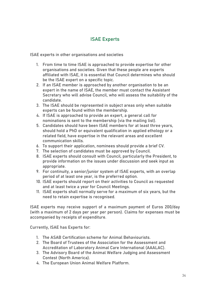# ISAE Experts

<span id="page-33-1"></span><span id="page-33-0"></span>ISAE experts in other organisations and societies

- 1. From time to time ISAE is approached to provide expertise for other organisations and societies. Given that these people are experts affiliated with ISAE, it is essential that Council determines who should be the ISAE expert on a specific topic.
- 2. If an ISAE member is approached by another organisation to be an expert in the name of ISAE, the member must contact the Assistant Secretary who will advise Council, who will assess the suitability of the candidate.
- 3. The ISAE should be represented in subject areas only when suitable experts can be found within the membership.
- 4. If ISAE is approached to provide an expert, a general call for nominations is sent to the membership (via the mailing list).
- 5. Candidates should have been ISAE members for at least three years, should hold a PhD or equivalent qualification in applied ethology or a related field, have expertise in the relevant areas and excellent communication skills.
- 6. To support their application, nominees should provide a brief CV.
- 7. The selection of candidates must be approved by Council.
- 8. ISAE experts should consult with Council, particularly the President, to provide information on the issues under discussion and seek input as appropriate.
- 9. For continuity, a senior/junior system of ISAE experts, with an overlap period of at least one year, is the preferred option.
- 10. ISAE experts should report on their activities to Council as requested and at least twice a year for Council Meetings.
- 11. ISAE experts shall normally serve for a maximum of six years, but the need to retain expertise is recognised.

ISAE experts may receive support of a maximum payment of Euros 200/day (with a maximum of 2 days per year per person). Claims for expenses must be accompanied by receipts of expenditure.

Currently, ISAE has Experts for:

- 1. The ASAB Certification scheme for Animal Behaviourists.
- 2. The Board of Trustees of the Association for the Assessment and Accreditation of Laboratory Animal Care International (AAALAC).
- 3. The Advisory Board of the Animal Welfare Judging and Assessment Contest (North America).
- 4. The European Union Animal Welfare Platform.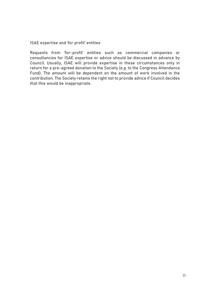<span id="page-34-0"></span>ISAE expertise and 'for profit' entities

Requests from 'for-profit' entities such as commercial companies or consultancies for ISAE expertise or advice should be discussed in advance by Council. Usually, ISAE will provide expertise in these circumstances only in return for a pre-agreed donation to the Society (e.g. to the Congress Attendance Fund). The amount will be dependent on the amount of work involved in the contribution. The Society retains the right not to provide advice if Council decides that this would be inappropriate.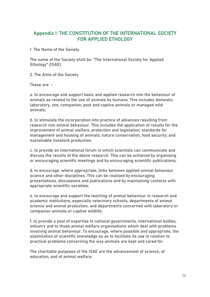# <span id="page-35-0"></span>Appendix I: THE CONSTITUTION OF THE INTERNATIONAL SOCIETY FOR APPLIED ETHOLOGY

<span id="page-35-1"></span>1. The Name of the Society

The name of the Society shall be: "The International Society for Applied Ethology" (ISAE).

<span id="page-35-2"></span>2. The Aims of the Society

These are: -

a. to encourage and support basic and applied research into the behaviour of animals as related to the use of animals by humans. This includes domestic, laboratory, zoo, companion, pest and captive animals or managed wild animals;

b. to stimulate the incorporation into practice of advances resulting from research into animal behaviour. This includes the application of results for the improvement of animal welfare, protection and legislation; standards for management and housing of animals; nature conservation; food security; and sustainable livestock production.

c. to provide an international forum in which scientists can communicate and discuss the results of the above research. This can be achieved by organising or encouraging scientific meetings and by encouraging scientific publications;

d. to encourage, where appropriate, links between applied animal behaviour science and other disciplines. This can be realised by encouraging presentations, discussions and publications and by maintaining contacts with appropriate scientific societies;

e. to encourage and support the teaching of animal behaviour in research and academic institutions, especially veterinary schools, departments of animal science and animal production, and departments concerned with laboratory or companion animals or captive wildlife;

f. to provide a pool of expertise to national governments, international bodies, industry and to those animal welfare organisations which deal with problems involving animal behaviour. To encourage, where possible and appropriate, the assimilation of scientific knowledge so as to facilitate its use in relation to practical problems concerning the way animals are kept and cared for.

<span id="page-35-3"></span>The charitable purposes of the ISAE are the advancement of science, of education, and of animal welfare.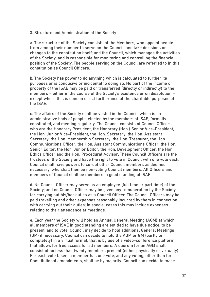### <span id="page-36-0"></span>3. Structure and Administration of the Society

a. The structure of the Society consists of the Members, who appoint people from among their number to serve on the Council, and take decisions on changes to the constitution itself; and the Council, which manages the activities of the Society, and is responsible for monitoring and controlling the financial position of the Society. The people serving on the Council are referred to in this constitution as Council Officers.

b. The Society has power to do anything which is calculated to further its purposes or is conducive or incidental to doing so. No part of the income or property of the ISAE may be paid or transferred (directly or indirectly) to the members – either in the course of the Society's existence or on dissolution – except where this is done in direct furtherance of the charitable purposes of the ISAE.

c. The affairs of the Society shall be vested in the Council, which is an administrative body of people, elected by the members of ISAE, formally constituted, and meeting regularly. The Council consists of Council Officers, who are the Honorary President, the Honorary (Hon.) Senior Vice-President, the Hon. Junior Vice-President, the Hon. Secretary, the Hon. Assistant Secretary, the Hon. Membership Secretary, the Hon. Treasurer, the Hon. Communications Officer, the Hon. Assistant Communications Officer, the Hon. Senior Editor, the Hon. Junior Editor, the Hon. Development Officer, the Hon. Ethics Officer and the Hon. Procedural Advisor. These Council Officers are the trustees of the Society and have the right to vote in Council with one vote each. Council shall have powers to co-opt other Council members as deemed necessary, who shall then be non-voting Council members. All Officers and members of Council shall be members in good standing of ISAE.

d. No Council Officer may serve as an employee (full time or part time) of the Society; and no Council Officer may be given any remuneration by the Society for carrying out his/her duties as a Council Officer. The Council Officers may be paid travelling and other expenses reasonably incurred by them in connection with carrying out their duties; in special cases this may include expenses relating to their attendance at meetings.

e. Each year the Society will hold an Annual General Meeting (AGM) at which all members of ISAE in good standing are entitled to have due notice, to be present, and to vote. Council may decide to hold additional General Meetings (GM) if necessary. Council can decide to hold the AGM or GM (partly or completely) in a virtual format, that is by use of a video-conference platform that allows for free access for all members. A quorum for an AGM shall consist of no less than twenty members present (either physically or virtually). For each vote taken, a member has one vote; and any voting, other than for Constitutional amendments, shall be by majority. Council can decide to make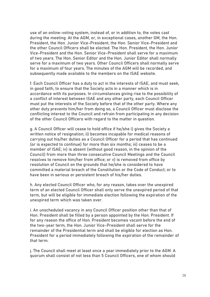use of an online-voting system, instead of, or in addition to, the votes cast during the meeting. At the AGM, or, in exceptional cases, another GM, the Hon. President, the Hon. Junior Vice-President, the Hon. Senior Vice-President and the other Council Officers shall be elected. The Hon. President, the Hon. Junior Vice-President and the Hon. Senior Vice-President shall serve for a maximum of two years. The Hon. Senior Editor and the Hon. Junior Editor shall normally serve for a maximum of two years. Other Council Officers shall normally serve for a maximum of four years. The minutes of the AGM will be recorded, and subsequently made available to the members on the ISAE website.

f. Each Council Officer has a duty to act in the interests of ISAE, and must seek, in good faith, to ensure that the Society acts in a manner which is in accordance with its purposes. In circumstances giving rise to the possibility of a conflict of interest between ISAE and any other party, each Council Officer must put the interests of the Society before that of the other party. Where any other duty prevents him/her from doing so, a Council Officer must disclose the conflicting interest to the Council and refrain from participating in any decision of the other Council Officers with regard to the matter in question.

g. A Council Officer will cease to hold office if he/she i) gives the Society a written notice of resignation; ii) becomes incapable for medical reasons of carrying out his/her duties as a Council Officer for a period that has continued (or is expected to continue) for more than six months; iii) ceases to be a member of ISAE; iv) is absent (without good reason, in the opinion of the Council) from more than three consecutive Council Meetings and the Council resolves to remove him/her from office; or v) is removed from office by resolution of Council on the grounds that he/she is considered to have committed a material breach of the Constitution or the Code of Conduct; or to have been in serious or persistent breach of his/her duties.

h. Any elected Council Officer who, for any reason, takes over the unexpired term of an elected Council Officer shall only serve the unexpired period of that term, but will be eligible for immediate election following the expiration of the unexpired term which was taken over.

i. An unscheduled vacancy in any Council Officer position other than that of Hon. President shall be filled by a person appointed by the Hon. President. If for any reason the office of Hon. President becomes vacant before the end of the two-year term, the Hon. Junior Vice-President shall serve for the remainder of the Presidential term and shall be eligible for election as Hon. President for a period immediately following the expiration of the remainder of that term.

j. The Council shall meet at least once a year immediately prior to the AGM. A quorum shall consist of not less than 5 Council Officers, one of whom should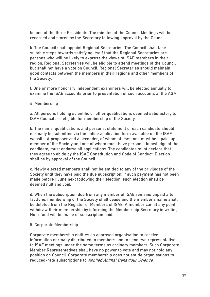be one of the three Presidents. The minutes of the Council Meetings will be recorded and stored by the Secretary following approval by the Council.

k. The Council shall appoint Regional Secretaries. The Council shall take suitable steps towards satisfying itself that the Regional Secretaries are persons who will be likely to express the views of ISAE members in their region. Regional Secretaries will be eligible to attend meetings of the Council but shall not have a vote on Council. Regional Secretaries should maintain good contacts between the members in their regions and other members of the Society.

l. One or more honorary independent examiners will be elected annually to examine the ISAE accounts prior to presentation of such accounts at the AGM.

#### <span id="page-38-0"></span>4. Membership

a. All persons holding scientific or other qualifications deemed satisfactory to ISAE Council are eligible for membership of the Society.

b. The name, qualifications and personal statement of each candidate should normally be submitted via the online application form available on the ISAE website. A proposer and a seconder, of whom at least one must be a paid-up member of the Society and one of whom must have personal knowledge of the candidate, must endorse all applications. The candidates must declare that they agree to abide by the ISAE Constitution and Code of Conduct. Election shall be by approval of the Council.

c. Newly elected members shall not be entitled to any of the privileges of the Society until they have paid the due subscription. If such payment has not been made before 1 June next following their election, such election shall be deemed null and void.

d. When the subscription due from any member of ISAE remains unpaid after 1st June, membership of the Society shall cease and the member's name shall be deleted from the Register of Members of ISAE. A member can at any point withdraw their membership by informing the Membership Secretary in writing. No refund will be made of subscription paid.

### <span id="page-38-1"></span>5. Corporate Membership

Corporate membership entitles an approved organisation to receive information normally distributed to members and to send two representatives to ISAE meetings under the same terms as ordinary members. Such Corporate Member Representatives shall have no power to vote and may not hold any position on Council. Corporate membership does not entitle organisations to reduced-rate subscriptions to Applied Animal Behaviour Science.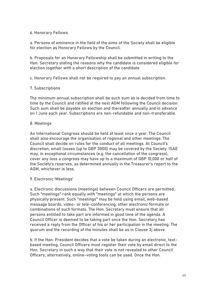# <span id="page-39-0"></span>6. Honorary Fellows

a. Persons of eminence in the field of the aims of the Society shall be eligible for election as Honorary Fellows by the Council.

b. Proposals for an Honorary Fellowship shall be submitted in writing to the Hon. Secretary stating the reasons why the candidate is considered eligible for election together with a short description of the candidate.

c. Honorary Fellows shall not be required to pay an annual subscription.

# <span id="page-39-1"></span>7. Subscriptions

The minimum annual subscription shall be such sum as is decided from time to time by the Council and ratified at the next AGM following the Council decision. Such sum shall be payable on election and thereafter annually and in advance on 1 June each year. Subscriptions are non-refundable and non-transferable.

# <span id="page-39-2"></span>8. Meetings

An International Congress should be held at least once a year. The Council shall also encourage the organisation of regional and other meetings. The Council shall decide on rules for the conduct of all meetings. At Council's discretion, small losses (up to GBP 3000) may be covered by the Society. ISAE may, in exceptional circumstances (e.g. the cancellation of the congress), cover any loss a congress may have up to a maximum of GBP 10,000 or half of the Society's reserves, as determined annually in the Treasurer's report to the AGM, whichever is less.

### <span id="page-39-3"></span>9. Electronic 'Meetings'

a. Electronic discussions (meetings) between Council Officers are permitted. Such "meetings" rank equally with "meetings" at which the persons are physically present. Such "meetings" may be held using email, web-based message boards, video- or tele-conferencing, other electronic formats or combinations of such formats. The Hon. Secretary must ensure that all persons entitled to take part are informed in good time of the agenda. A Council Officer is deemed to be taking part once the Hon. Secretary has received a reply from the Officer of his or her participation in the meeting. The quorum and the recording of the minutes shall be as in Clause 3j above.

b. If the Hon. President decides that a vote be taken during an electronic, textbased meeting, Council Officers must register their vote by email direct to the Hon. Secretary in such a way that their vote is not revealed to other Council Officers; alternatively, online-voting tools can be used. Once the Hon.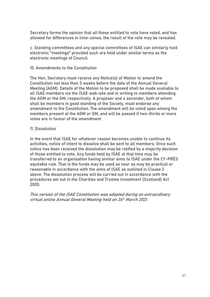Secretary forms the opinion that all those entitled to vote have voted, and has allowed for differences in time-zones, the result of the vote may be revealed.

c. Standing committees and any special committees of ISAE can similarly hold electronic "meetings" provided such are held under similar terms as the electronic meetings of Council.

### <span id="page-40-0"></span>10. Amendments to the Constitution

The Hon. Secretary must receive any Notice(s) of Motion to amend the Constitution not less than 3 weeks before the date of the Annual General Meeting (AGM). Details of the Motion to be proposed shall be made available to all ISAE members via the ISAE web-site and in writing to members attending the AGM or the GM, respectively. A proposer and a seconder, both of whom shall be members in good standing of the Society, must endorse any amendment to the Constitution. The amendment will be voted upon among the members present at the AGM or GM, and will be passed if two-thirds or more votes are in favour of the amendment.

### <span id="page-40-1"></span>11. Dissolution

In the event that ISAE for whatever reason becomes unable to continue its activities, notice of intent to dissolve shall be sent to all members. Once such notice has been received the dissolution may be ratified by a majority decision of those entitled to vote. Any funds held by ISAE at that time may be transferred to an organisation having similar aims to ISAE under the CY-PRÈS equitable rule. That is the funds may be used as near as may be practical or reasonable in accordance with the aims of ISAE as outlined in Clause 2 above. The dissolution process will be carried out in accordance with the procedures set out in the Charities and Trustee investment (Scotland) Act 2005.

This version of the ISAE Constitution was adopted during an extraordinary virtual online Annual General Meeting held on 24 th March 2021.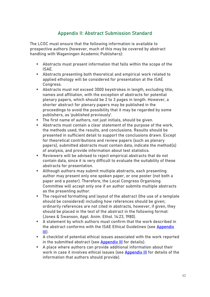# Appendix II: Abstract Submission Standard

<span id="page-41-0"></span>The LCOC must ensure that the following information is available to prospective authors (however, much of this may be covered by abstract handling with Wageningen Academic Publishers):

- Abstracts must present information that falls within the scope of the ISAE.
- Abstracts presenting both theoretical and empirical work related to applied ethology will be considered for presentation at the ISAE Congress.
- Abstracts must not exceed 3000 keystrokes in length, excluding title, names and affiliation, with the exception of abstracts for potential plenary papers, which should be 2 to 3 pages in length. However, a shorter abstract for plenary papers may be published in the proceedings to avoid the possibility that it may be regarded by some publishers, as 'published previously'.
- The first name of authors, not just initials, should be given.
- Abstracts must contain a clear statement of the purpose of the work. the methods used, the results, and conclusions. Results should be presented in sufficient detail to support the conclusions drawn. Except for theoretical contributions and review papers (such as plenary papers), submitted abstracts must contain data, indicate the method(s) of analysis, and provide information about test statistics.
- Reviewers will be advised to reject empirical abstracts that do not contain data, since it is very difficult to evaluate the suitability of these abstracts for presentation.
- Although authors may submit multiple abstracts, each presenting author may present only one spoken paper, or one poster (not both a paper and a poster). Therefore, the Local Congress Organising Committee will accept only one if an author submits multiple abstracts as the presenting author.
- The required formatting and layout of the abstract (the use of a template should be considered) including how references should be given; ordinarily references are not cited in abstracts, however, if given, they should be placed in the text of the abstract in the following format: (Jones & Swanson, Appl. Anim. Ethol. 14:23, 1980).
- A statement by which authors must confirm that the work described in the abstract conforms with the ISAE Ethical Guidelines (see Appendix [III\)](#page-47-0).
- A checklist of potential ethical issues associated with the work reported in the submitted abstract (see [Appendix III](#page-47-0) for details).
- A place where authors can provide additional information about their work in case it involves ethical issues (see **Appendix III** for details of the information that authors should provide).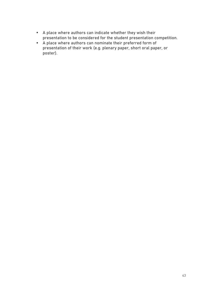- A place where authors can indicate whether they wish their presentation to be considered for the student presentation competition.
- A place where authors can nominate their preferred form of presentation of their work (e.g. plenary paper, short oral paper, or poster).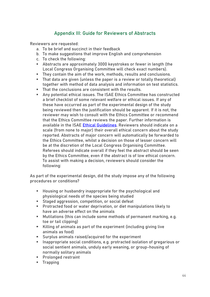# Appendix III: Guide for Reviewers of Abstracts

<span id="page-43-0"></span>Reviewers are requested:

- a. To be brief and succinct in their feedback
- b. To make suggestions that improve English and comprehension
- c. To check the following:
- Abstracts are approximately 3000 keystrokes or fewer in length (the Local Congress Organising Committee will check exact numbers).
- They contain the aim of the work, methods, results and conclusions.
- That data are given (unless the paper is a review or totally theoretical) together with method of data analysis and information on test statistics.
- That the conclusions are consistent with the results.
- Any potential ethical issues. The ISAE Ethics Committee has constructed a brief checklist of some relevant welfare or ethical issues. If any of these have occurred as part of the experimental design of the study being reviewed then the justification should be apparent. If it is not, the reviewer may wish to consult with the Ethics Committee or recommend that the Ethics Committee reviews the paper. Further information is available in the ISAE **Ethical Guidelines**. Reviewers should indicate on a scale (from none to major) their overall ethical concern about the study reported. Abstracts of major concern will automatically be forwarded to the Ethics Committee, whilst a decision on those of lesser concern will be at the discretion of the Local Congress Organising Committee. Referees should indicate overall if they feel the abstract should be seen by the Ethics Committee, even if the abstract is of low ethical concern. To assist with making a decision, reviewers should consider the following:

As part of the experimental design, did the study impose any of the following procedures or conditions?

- Housing or husbandry inappropriate for the psychological and physiological needs of the species being studied
- Staged aggression, competition, or social defeat
- Protracted food or water deprivation, or diet manipulations likely to have an adverse effect on the animals
- Mutilations (this can include some methods of permanent marking, e.g. toe or tail clipping)
- Killing of animals as part of the experiment (including giving live animals as food)
- **E** Surplus animals raised/acquired for the experiment
- Inappropriate social conditions, e.g. protracted isolation of gregarious or social sentient animals, unduly early weaning, or group-housing of normally solitary animals
- Prolonged restraint
- Trapping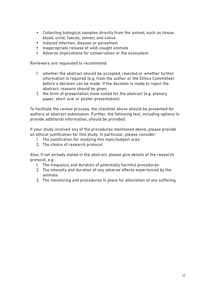- Collecting biological samples directly from the animal, such as tissue, blood, urine, faeces, semen, and saliva
- **EXECTE Induced infection, disease or parasitism**
- Inappropriate release of wild-caught animals
- Adverse implications for conservation or the ecosystem

Reviewers are requested to recommend:

- 1. whether the abstract should be accepted, rejected or whether further information is required (e.g. from the author or the Ethics Committee) before a decision can be made. If the decision is made to reject the abstract, reasons should be given.
- 2. the form of presentation most suited for the abstract (e.g. plenary paper, short oral or poster presentation).

To facilitate the review process, the checklist above should be presented for authors at abstract submission. Further, the following text, including options to provide additional information, should be provided:

If your study involved any of the procedures mentioned above, please provide an ethical justification for this study. In particular, please consider:

- 1. The justification for studying this topic/subject area
- 2. The choice of research protocol

Also, if not already stated in the abstract, please give details of the research protocol, e.g.:

- 1. The frequency and duration of potentially harmful procedures
- 2. The intensity and duration of any adverse effects experienced by the animals
- 3. The monitoring and procedures in place for alleviation of any suffering.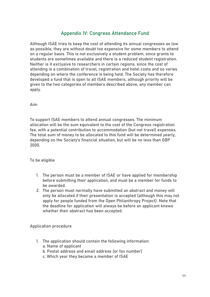# Appendix IV: Congress Attendance Fund

<span id="page-45-0"></span>Although ISAE tries to keep the cost of attending its annual congresses as low as possible, they are without doubt too expensive for some members to attend on a regular basis. This is not exclusively a student problem, since grants to students are sometimes available and there is a reduced student registration. Neither is it exclusive to researchers in certain regions, since the cost of attending is a combination of travel, registration and hotel costs and so varies depending on where the conference is being held. The Society has therefore developed a fund that is open to all ISAE members; although priority will be given to the two categories of members described above, any member can apply.

<span id="page-45-1"></span>Aim

To support ISAE members to attend annual congresses. The minimum allocation will be the sum equivalent to the cost of the Congress registration fee, with a potential contribution to accommodation (but not travel) expenses. The total sum of money to be allocated to this fund will be determined yearly, depending on the Society's financial situation, but will be no less than GBP 2000.

<span id="page-45-2"></span>To be eligible

- 1. The person must be a member of ISAE or have applied for membership before submitting their application, and must be a member for funds to be awarded.
- 2. The person must normally have submitted an abstract and money will only be allocated if their presentation is accepted (although this may not apply for people funded from the Open Philanthropy Project). Note that the deadline for application will always be before an applicant knows whether their abstract has been accepted.

<span id="page-45-3"></span>Application procedure

- 1. The application should contain the following information: a. Name of applicant
	- b. Postal address and email address (or fax number)
	- c. Which year they became a member of ISAE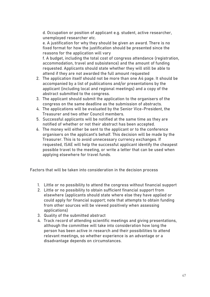d. Occupation or position of applicant e.g. student, active researcher, unemployed researcher etc.

e. A justification for why they should be given an award. There is no fixed format for how the justification should be presented since the reasons for the application will vary

f. A budget, including the total cost of congress attendance (registration, accommodation, travel and subsistence) and the amount of funding requested. Applicants should state whether they will still be able to attend if they are not awarded the full amount requested

- 2. The application itself should not be more than one A4 page. It should be accompanied by a list of publications and/or presentations by the applicant (including local and regional meetings) and a copy of the abstract submitted to the congress.
- 3. The applicant should submit the application to the organisers of the congress on the same deadline as the submission of abstracts.
- 4. The applications will be evaluated by the Senior Vice-President, the Treasurer and two other Council members.
- 5. Successful applicants will be notified at the same time as they are notified of whether or not their abstract has been accepted.
- 6. The money will either be sent to the applicant or to the conference organisers on the applicant's behalf. This decision will be made by the Treasurer. This is to avoid unnecessary currency exchanges. If requested, ISAE will help the successful applicant identify the cheapest possible travel to the meeting, or write a letter that can be used when applying elsewhere for travel funds.

<span id="page-46-0"></span>Factors that will be taken into consideration in the decision process

- 1. Little or no possibility to attend the congress without financial support
- 2. Little or no possibility to obtain sufficient financial support from elsewhere (applicants should state where else they have applied or could apply for financial support; note that attempts to obtain funding from other sources will be viewed positively when assessing applications)
- 3. Quality of the submitted abstract
- 4. Track record of attending scientific meetings and giving presentations, although the committee will take into consideration how long the person has been active in research and their possibilities to attend relevant meetings, so whether experience is an advantage or a disadvantage depends on circumstances.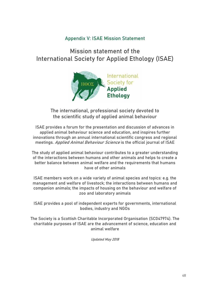# Appendix V: ISAE Mission Statement

# <span id="page-47-0"></span>Mission statement of the International Society for Applied Ethology (ISAE)



The international, professional society devoted to the scientific study of applied animal behaviour

ISAE provides a forum for the presentation and discussion of advances in applied animal behaviour science and education, and inspires further innovations through an annual international scientific congress and regional meetings. Applied Animal Behaviour Science is the official journal of ISAE

The study of applied animal behaviour contributes to a greater understanding of the interactions between humans and other animals and helps to create a better balance between animal welfare and the requirements that humans have of other animals

ISAE members work on a wide variety of animal species and topics: e.g. the management and welfare of livestock; the interactions between humans and companion animals; the impacts of housing on the behaviour and welfare of zoo and laboratory animals

ISAE provides a pool of independent experts for governments, international bodies, industry and NGOs

The Society is a Scottish Charitable Incorporated Organisation (SC047974). The charitable purposes of ISAE are the advancement of science, education and animal welfare

Updated May 2018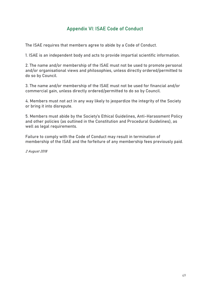# Appendix VI: ISAE Code of Conduct

<span id="page-48-0"></span>The ISAE requires that members agree to abide by a Code of Conduct.

1. ISAE is an independent body and acts to provide impartial scientific information.

2. The name and/or membership of the ISAE must not be used to promote personal and/or organisational views and philosophies, unless directly ordered/permitted to do so by Council.

3. The name and/or membership of the ISAE must not be used for financial and/or commercial gain, unless directly ordered/permitted to do so by Council.

4. Members must not act in any way likely to jeopardize the integrity of the Society or bring it into disrepute.

5. Members must abide by the Society's Ethical Guidelines, Anti-Harassment Policy and other policies (as outlined in the Constitution and Procedural Guidelines), as well as legal requirements.

Failure to comply with the Code of Conduct may result in termination of membership of the ISAE and the forfeiture of any membership fees previously paid.

2 August 2018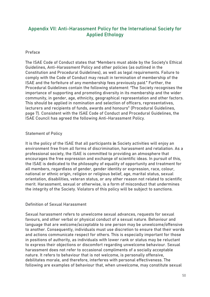# <span id="page-49-0"></span>Appendix VII: Anti-Harassment Policy for the International Society for Applied Ethology

### <span id="page-49-1"></span>Preface

The ISAE Code of Conduct states that "Members must abide by the Society's Ethical Guidelines, Anti-Harassment Policy and other policies (as outlined in the Constitution and Procedural Guidelines), as well as legal requirements. Failure to comply with the Code of Conduct may result in termination of membership of the ISAE and the forfeiture of any membership fees previously paid." Further, the Procedural Guidelines contain the following statement: "The Society recognises the importance of supporting and promoting diversity in its membership and the wider community, in gender, age, ethnicity, geographical representation and other factors. This should be applied in nomination and selection of officers, representatives, lecturers and recipients of funds, awards and honours" (Procedural Guidelines, page 7). Consistent with the ISAE Code of Conduct and Procedural Guidelines, the ISAE Council has agreed the following Anti-Harassment Policy.

# <span id="page-49-2"></span>Statement of Policy

It is the policy of the ISAE that all participants in **Society activities** will enjoy an environment free from all forms of discrimination, harassment and retaliation. As a professional society, the ISAE is committed to providing an atmosphere that encourages the free expression and exchange of scientific ideas. In pursuit of this, the ISAE is dedicated to the philosophy of equality of opportunity and treatment for all members, regardless of gender, gender identity or expression, race, colour, national or ethnic origin, religion or religious belief, age, marital status, sexual orientation, disabilities, veteran status, or any other reason not related to scientific merit. Harassment, sexual or otherwise, is a form of misconduct that undermines the integrity of the Society. Violators of this policy will be subject to sanctions.

### <span id="page-49-3"></span>Definition of Sexual Harassment

Sexual harassment refers to unwelcome sexual advances, requests for sexual favours, and other verbal or physical conduct of a sexual nature. Behaviour and language that are welcome/acceptable to one person may be unwelcome/offensive to another. Consequently, individuals must use discretion to ensure that their words and actions communicate respect for others. This is especially important for those in positions of authority, as individuals with lower rank or status may be reluctant to express their objections or discomfort regarding unwelcome behaviour. Sexual harassment does not refer to occasional compliments of a socially acceptable nature. It refers to behaviour that is not welcome, is personally offensive, debilitates morale, and therefore, interferes with personal effectiveness. The following are examples of behaviour that, when unwelcome, may constitute sexual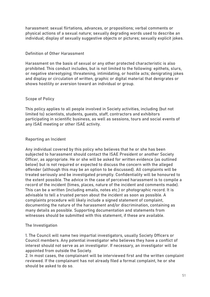harassment: sexual flirtations, advances, or propositions; verbal comments or physical actions of a sexual nature; sexually degrading words used to describe an individual; display of sexually suggestive objects or pictures; sexually explicit jokes.

# <span id="page-50-0"></span>Definition of Other Harassment

Harassment on the basis of sexual or any other protected characteristic is also prohibited. This conduct includes, but is not limited to the following: epithets, slurs, or negative stereotyping; threatening, intimidating, or hostile acts; denigrating jokes and display or circulation of written, graphic or digital material that denigrates or shows hostility or aversion toward an individual or group.

# <span id="page-50-1"></span>Scope of Policy

This policy applies to all people involved in Society activities, including (but not limited to) scientists, students, guests, staff, contractors and exhibitors participating in scientific business, as well as sessions, tours and social events of any ISAE meeting or other ISAE activity.

# <span id="page-50-2"></span>Reporting an Incident

<span id="page-50-3"></span>Any individual covered by this policy who believes that he or she has been subjected to harassment should contact the ISAE President or another Society Officer, as appropriate. He or she will be asked for written evidence (as outlined below) but is not required or expected to discuss the concern with the alleged offender (although this may be an option to be discussed). All complaints will be treated seriously and be investigated promptly. Confidentiality will be honoured to the extent possible. The advice in the case of perceived harassment is to compile a record of the incident (times, places, nature of the incident and comments made). This can be a written (including emails, notes etc.) or photographic record. It is advisable to tell a trusted person about the incident as soon as possible. A complaints procedure will likely include a signed statement of complaint, documenting the nature of the harassment and/or discrimination, containing as many details as possible. Supporting documentation and statements from witnesses should be submitted with this statement, if these are available.

# The Investigation

1. The Council will name two impartial investigators, usually Society Officers or Council members. Any potential investigator who believes they have a conflict of interest should not serve as an investigator. If necessary, an investigator will be appointed from outside the Society.

2. In most cases, the complainant will be interviewed first and the written complaint reviewed. If the complainant has not already filed a formal complaint, he or she should be asked to do so.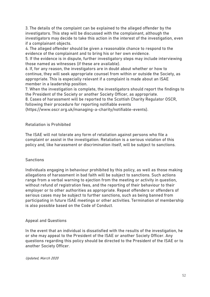3. The details of the complaint can be explained to the alleged offender by the investigators. This step will be discussed with the complainant, although the investigators may decide to take this action in the interest of the investigation, even if a complainant objects.

4. The alleged offender should be given a reasonable chance to respond to the evidence of the complainant and to bring his or her own evidence.

5. If the evidence is in dispute, further investigatory steps may include interviewing those named as witnesses (if these are available).

6. If, for any reason, the investigators are in doubt about whether or how to continue, they will seek appropriate counsel from within or outside the Society, as appropriate. This is especially relevant if a complaint is made about an ISAE member in a leadership position.

7. When the investigation is complete, the investigators should report the findings to the President of the Society or another Society Officer, as appropriate.

8. Cases of harassment will be reported to the Scottish Charity Regulator OSCR, following their procedure for reporting notifiable events

[\(https://www.oscr.org.uk/managing-a-charity/notifiable-events\)](https://www.oscr.org.uk/managing-a-charity/notifiable-events).

#### <span id="page-51-0"></span>Retaliation is Prohibited

The ISAE will not tolerate any form of retaliation against persons who file a complaint or assist in the investigation. Retaliation is a serious violation of this policy and, like harassment or discrimination itself, will be subject to sanctions.

### **Sanctions**

Individuals engaging in behaviour prohibited by this policy, as well as those making allegations of harassment in bad faith will be subject to sanctions. Such actions range from a verbal warning to ejection from the meeting or activity in question, without refund of registration fees, and the reporting of their behaviour to their employer or to other authorities as appropriate. Repeat offenders or offenders of serious cases may be subject to further sanctions, such as being banned from participating in future ISAE meetings or other activities. Termination of membership is also possible based on the Code of Conduct.

#### <span id="page-51-1"></span>Appeal and Questions

In the event that an individual is dissatisfied with the results of the investigation, he or she may appeal to the President of the ISAE or another Society Officer. Any questions regarding this policy should be directed to the President of the ISAE or to another Society Officer.

#### Updated, March 2020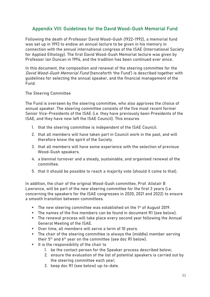# <span id="page-52-0"></span>Appendix VIII: Guidelines for the David Wood-Gush Memorial Fund

Following the death of Professor David Wood-Gush (1922-1992), a memorial fund was set up in 1993 to endow an annual lecture to be given in his memory in connection with the annual international congress of the ISAE (International Society for Applied Ethology). The first David Wood-Gush Memorial lecture was given by Professor Ian Duncan in 1994, and the tradition has been continued ever since.

In this document, the composition and renewal of the steering committee for the David Wood-Gush Memorial Fund (henceforth 'the Fund') is described together with guidelines for selecting the annual speaker, and the financial management of the Fund.

### <span id="page-52-1"></span>The Steering Committee

The Fund is overseen by the steering committee, who also approves the choice of annual speaker. The steering committee consists of the five most recent former Senior Vice-Presidents of the ISAE (i.e. they have previously been Presidents of the ISAE, and they have now left the ISAE Council). This ensures

- 1. that the steering committee is independent of the ISAE Council.
- 2. that all members will have taken part in Council work in the past, and will therefore know the spirit of the Society.
- 3. that all members will have some experience with the selection of previous Wood-Gush speakers.
- 4. a biennial turnover and a steady, sustainable, and organised renewal of the committee.
- 5. that it should be possible to reach a majority vote (should it come to that).

In addition, the chair of the original Wood-Gush committee, Prof. Alistair B Lawrence, will be part of the new steering committee for the first 3 years (i.e. concerning the speakers for the ISAE congresses in 2020, 2021 and 2022) to ensure a smooth transition between committees.

- **The new steering committee was established on the 1st of August 2019.**
- The names of the five members can be found in document R1 (see below).
- The renewal process will take place every second year following the Annual General Meeting of the ISAE.
- Over time, all members will serve a term of 10 years.
- The chair of the steering committee is always the (middle) member serving their  $5<sup>th</sup>$  and  $6<sup>th</sup>$  year on the committee (see doc R1 below).
- It is the responsibility of the chair to
	- 1. be the contact person for the Speaker process described below;
	- 2. ensure the evaluation of the list of potential speakers is carried out by the steering committee each year;
	- 3. keep doc R1 (see below) up-to-date.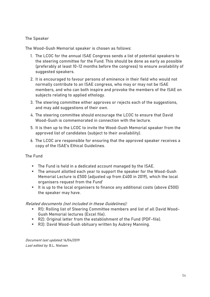# <span id="page-53-0"></span>The Speaker

The Wood-Gush Memorial speaker is chosen as follows:

- 1. The LCOC for the annual ISAE Congress sends a list of potential speakers to the steering committee for the Fund. This should be done as early as possible (preferably at least 10-12 months before the congress) to ensure availability of suggested speakers.
- 2. It is encouraged to favour persons of eminence in their field who would not normally contribute to an ISAE congress, who may or may not be ISAE members, and who can both inspire and provoke the members of the ISAE on subjects relating to applied ethology.
- 3. The steering committee either approves or rejects each of the suggestions, and may add suggestions of their own.
- 4. The steering committee should encourage the LCOC to ensure that David Wood-Gush is commemorated in connection with the lecture.
- 5. It is then up to the LCOC to invite the Wood-Gush Memorial speaker from the approved list of candidates (subject to their availability).
- 6. The LCOC are responsible for ensuring that the approved speaker receives a copy of the ISAE's Ethical Guidelines.

<span id="page-53-1"></span>The Fund

- The Fund is held in a dedicated account managed by the ISAE.
- The amount allotted each year to support the speaker for the Wood-Gush Memorial Lecture is £500 (adjusted up from £400 in 2019), which the local organisers request from the Fund'
- It is up to the local organisers to finance any additional costs (above £500) the speaker may have.

# Related documents (not included in these Guidelines):

- R1): Rolling list of Steering Committee members and list of all David Wood-Gush Memorial lectures (Excel file).
- R2): Original letter from the establishment of the Fund (PDF-file).
- R3): David Wood-Gush obituary written by Aubrey Manning.

Document last updated: 16/04/2019 Last edited by: B.L. Nielsen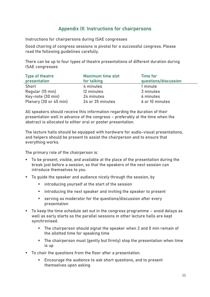# Appendix IX: Instructions for chairpersons

<span id="page-54-0"></span>Instructions for chairpersons during ISAE congresses

Good chairing of congress sessions is pivotal for a successful congress. Please read the following guidelines carefully.

There can be up to four types of theatre presentations of different duration during ISAE congresses:

| Type of theatre        | Maximum time slot | Time for             |
|------------------------|-------------------|----------------------|
| presentation           | for talking       | questions/discussion |
| Short                  | 4 minutes         | 1 minute             |
| Regular (15 min)       | 12 minutes        | 3 minutes            |
| Key-note (30 min)      | 24 minutes        | 6 minutes            |
| Plenary (30 or 45 min) | 24 or 35 minutes  | 6 or 10 minutes      |

All speakers should receive this information regarding the duration of their presentation well in advance of the congress – preferably at the time when the abstract is allocated to either oral or poster presentation.

The lecture halls should be equipped with hardware for audio-visual presentations, and helpers should be present to assist the chairperson and to ensure that everything works.

The primary role of the chairperson is:

- To be present, visible, and available at the place of the presentation during the break just before a session, so that the speakers of the next session can introduce themselves to you.
- To quide the speaker and audience nicely through the session, by
	- introducing yourself at the start of the session
	- introducing the next speaker and inviting the speaker to present
	- **EXECT:** serving as moderator for the questions/discussion after every presentation
- To keep the time schedule set out in the congress programme avoid delays as well as early starts so the parallel sessions in other lecture halls are kept synchronised.
	- The chairperson should signal the speaker when 2 and 0 min remain of the allotted time for speaking time
	- The chairperson must (gently but firmly) stop the presentation when time is up
- To chair the questions from the floor after a presentation.
	- Encourage the audience to ask short questions, and to present themselves upon asking